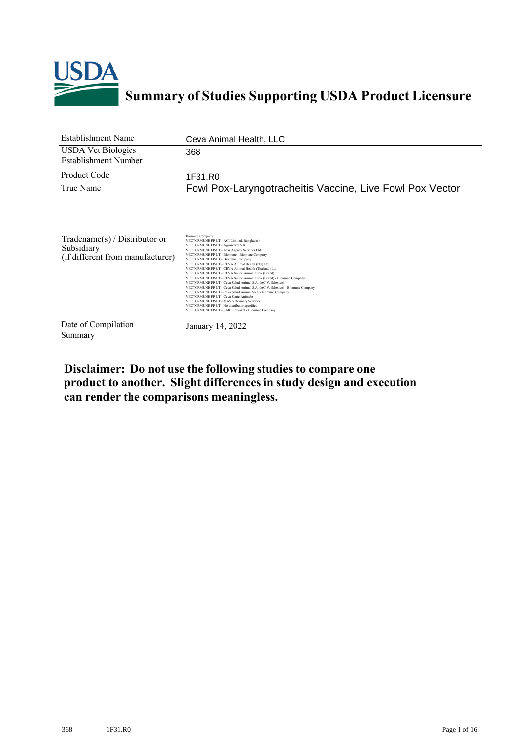

# **Summary of Studies Supporting USDA Product Licensure**

| <b>Establishment Name</b>                                                          | Ceva Animal Health, LLC                                                                                                                                                                                                                                                                                                                                                                                                                                                                                                                                                                                                                                                                                                                                                                                                                                                                              |
|------------------------------------------------------------------------------------|------------------------------------------------------------------------------------------------------------------------------------------------------------------------------------------------------------------------------------------------------------------------------------------------------------------------------------------------------------------------------------------------------------------------------------------------------------------------------------------------------------------------------------------------------------------------------------------------------------------------------------------------------------------------------------------------------------------------------------------------------------------------------------------------------------------------------------------------------------------------------------------------------|
| <b>USDA Vet Biologics</b><br>Establishment Number                                  | 368                                                                                                                                                                                                                                                                                                                                                                                                                                                                                                                                                                                                                                                                                                                                                                                                                                                                                                  |
| <b>Product Code</b>                                                                | 1F31.R0                                                                                                                                                                                                                                                                                                                                                                                                                                                                                                                                                                                                                                                                                                                                                                                                                                                                                              |
| True Name                                                                          | Fowl Pox-Laryngotracheitis Vaccine, Live Fowl Pox Vector                                                                                                                                                                                                                                                                                                                                                                                                                                                                                                                                                                                                                                                                                                                                                                                                                                             |
| Tradename $(s)$ / Distributor or<br>Subsidiary<br>(if different from manufacturer) | <b>Biomune Company</b><br>VECTORMUNE FP-LT - ACI Limited, Bangladesh<br>VECTORMUNE FP-LT - Agroservet S.R.L.<br>VECTORMUNE FP-LT - Axis Agency Services Ltd.<br>VECTORMUNE FP-LT - Biomune - Biomune Company<br>VECTORMUNE FP-LT - Biomune Company<br>VECTORMUNE FP-LT - CEVA Animal Health (Pty) Ltd<br>VECTORMUNE FP-LT - CEVA Animal Health (Thailand) Ltd<br>VECTORMUNE FP-LT - CEVA Saude Animal Ltda. (Brazil)<br>VECTORMUNE FP-LT - CEVA Saude Animal Ltda. (Brazil) - Biomune Company<br>VECTORMUNE FP-LT - Ceva Salud Animal S.A. de C.V. (Mexico)<br>VECTORMUNE FP-LT - Ceva Salud Animal S.A. de C.V. (Mexico) - Biomune Company<br>VECTORMUNE FP-LT - Ceva Salud Animal SRL - Biomune Company<br>VECTORMUNE FP-LT - Ceva Sante Animale<br>VECTORMUNE FP-LT - MAS Veterinary Services<br>VECTORMUNE FP-LT - No distributor specified<br>VECTORMUNE FP-LT - SARL Cevavet - Biomune Company |
| Date of Compilation<br>Summary                                                     | January 14, 2022                                                                                                                                                                                                                                                                                                                                                                                                                                                                                                                                                                                                                                                                                                                                                                                                                                                                                     |

**Disclaimer: Do not use the following studiesto compare one product to another. Slight differencesin study design and execution can render the comparisons meaningless.**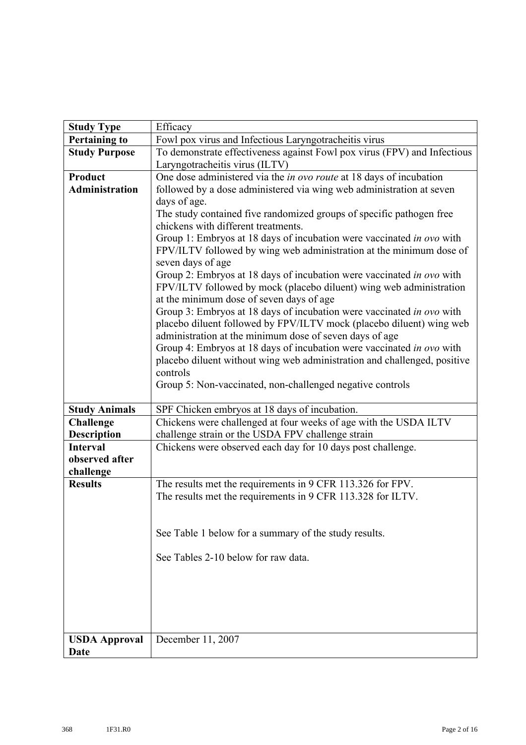| <b>Study Type</b>                      | Efficacy                                                                                                                                                                                                 |
|----------------------------------------|----------------------------------------------------------------------------------------------------------------------------------------------------------------------------------------------------------|
| <b>Pertaining to</b>                   | Fowl pox virus and Infectious Laryngotracheitis virus                                                                                                                                                    |
| <b>Study Purpose</b>                   | To demonstrate effectiveness against Fowl pox virus (FPV) and Infectious                                                                                                                                 |
|                                        | Laryngotracheitis virus (ILTV)                                                                                                                                                                           |
| Product                                | One dose administered via the in ovo route at 18 days of incubation                                                                                                                                      |
| <b>Administration</b>                  | followed by a dose administered via wing web administration at seven                                                                                                                                     |
|                                        | days of age.                                                                                                                                                                                             |
|                                        | The study contained five randomized groups of specific pathogen free<br>chickens with different treatments.                                                                                              |
|                                        | Group 1: Embryos at 18 days of incubation were vaccinated in ovo with<br>FPV/ILTV followed by wing web administration at the minimum dose of<br>seven days of age                                        |
|                                        | Group 2: Embryos at 18 days of incubation were vaccinated in ovo with<br>FPV/ILTV followed by mock (placebo diluent) wing web administration                                                             |
|                                        | at the minimum dose of seven days of age                                                                                                                                                                 |
|                                        | Group 3: Embryos at 18 days of incubation were vaccinated in ovo with<br>placebo diluent followed by FPV/ILTV mock (placebo diluent) wing web<br>administration at the minimum dose of seven days of age |
|                                        | Group 4: Embryos at 18 days of incubation were vaccinated in ovo with<br>placebo diluent without wing web administration and challenged, positive                                                        |
|                                        | controls                                                                                                                                                                                                 |
|                                        | Group 5: Non-vaccinated, non-challenged negative controls                                                                                                                                                |
|                                        |                                                                                                                                                                                                          |
| <b>Study Animals</b>                   | SPF Chicken embryos at 18 days of incubation.                                                                                                                                                            |
| <b>Challenge</b><br><b>Description</b> | Chickens were challenged at four weeks of age with the USDA ILTV<br>challenge strain or the USDA FPV challenge strain                                                                                    |
| <b>Interval</b>                        | Chickens were observed each day for 10 days post challenge.                                                                                                                                              |
| observed after                         |                                                                                                                                                                                                          |
| challenge                              |                                                                                                                                                                                                          |
| <b>Results</b>                         | The results met the requirements in 9 CFR 113.326 for FPV.                                                                                                                                               |
|                                        | The results met the requirements in 9 CFR 113.328 for ILTV.                                                                                                                                              |
|                                        |                                                                                                                                                                                                          |
|                                        |                                                                                                                                                                                                          |
|                                        | See Table 1 below for a summary of the study results.                                                                                                                                                    |
|                                        | See Tables 2-10 below for raw data.                                                                                                                                                                      |
|                                        |                                                                                                                                                                                                          |
|                                        |                                                                                                                                                                                                          |
|                                        |                                                                                                                                                                                                          |
|                                        |                                                                                                                                                                                                          |
|                                        |                                                                                                                                                                                                          |
| <b>USDA Approval</b>                   | December 11, 2007                                                                                                                                                                                        |
| <b>Date</b>                            |                                                                                                                                                                                                          |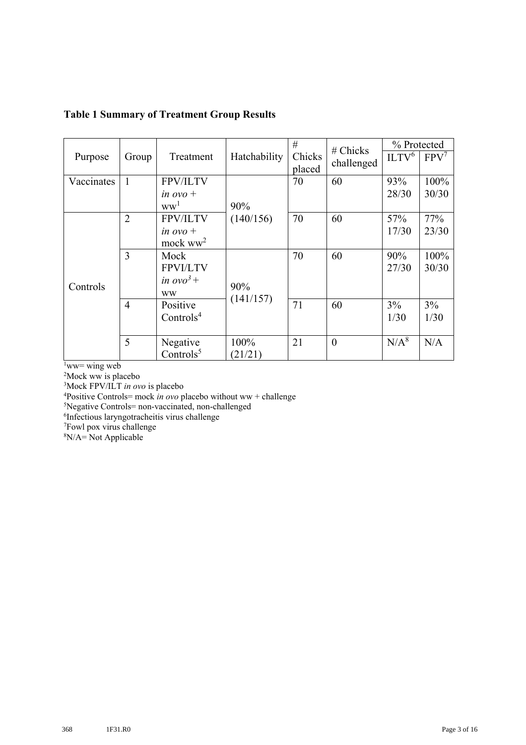### **Table 1 Summary of Treatment Group Results**

|            |                |                        |              | #      | $#$ Chicks | % Protected       |         |
|------------|----------------|------------------------|--------------|--------|------------|-------------------|---------|
| Purpose    | Group          | Treatment              | Hatchability | Chicks | challenged | ILTV <sup>6</sup> | $FPV^7$ |
|            |                |                        |              | placed |            |                   |         |
| Vaccinates | 1              | <b>FPV/ILTV</b>        |              | 70     | 60         | 93%               | 100%    |
|            |                | in $\sigma v \sigma$ + |              |        |            | 28/30             | 30/30   |
|            |                | ww <sup>1</sup>        | 90%          |        |            |                   |         |
|            | $\overline{2}$ | FPV/ILTV               | (140/156)    | 70     | 60         | 57%               | 77%     |
|            |                | in $\omega$ o +        |              |        |            | 17/30             | 23/30   |
|            |                | mock $ww^2$            |              |        |            |                   |         |
|            | 3              | Mock                   |              | 70     | 60         | 90%               | 100%    |
|            |                | <b>FPVI/LTV</b>        |              |        |            | 27/30             | 30/30   |
|            |                | in $ovo^3$ +           |              |        |            |                   |         |
| Controls   |                | <b>WW</b>              | 90%          |        |            |                   |         |
|            | $\overline{4}$ | Positive               | (141/157)    | 71     | 60         | 3%                | 3%      |
|            |                | Controls <sup>4</sup>  |              |        |            | 1/30              | 1/30    |
|            |                |                        |              |        |            |                   |         |
|            | 5              | Negative               | 100%         | 21     | $\theta$   | $N/A^8$           | N/A     |
|            |                | Controls $5$           | (21/21)      |        |            |                   |         |

 $1$ ww= wing web

2 Mock ww is placebo

3 Mock FPV/ILT *in ovo* is placebo

4 Positive Controls= mock *in ovo* placebo without ww + challenge

5 Negative Controls= non-vaccinated, non-challenged

6 Infectious laryngotracheitis virus challenge 7 Fowl pox virus challenge

8 N/A= Not Applicable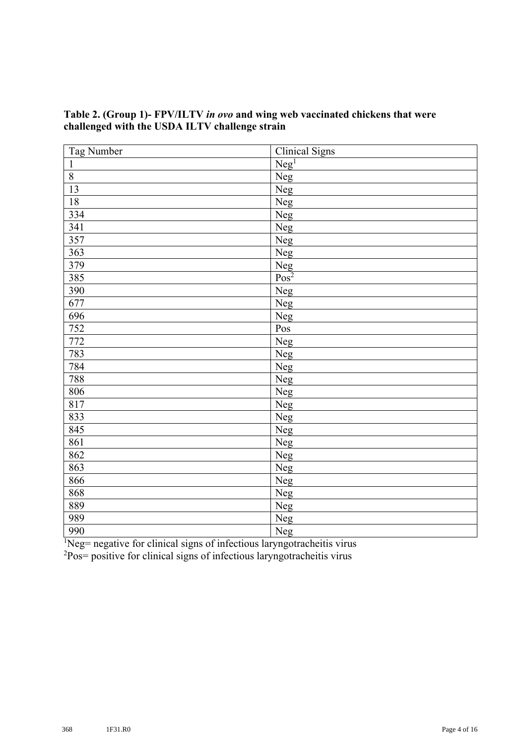| Tag Number         | <b>Clinical Signs</b>             |
|--------------------|-----------------------------------|
| $\mathbf{1}$       | Neg <sup>1</sup>                  |
| $\overline{\bf 8}$ | Neg                               |
| 13                 | Neg                               |
| $18\,$             | Neg                               |
| 334                | Neg                               |
| 341                | Neg                               |
| 357                | Neg                               |
| 363                | Neg                               |
| 379                | $\frac{\text{Neg}}{\text{Pos}^2}$ |
| 385                |                                   |
| 390                | Neg                               |
| 677                | Neg                               |
| 696                | Neg                               |
| 752                | Pos                               |
| 772                | Neg                               |
| 783                | Neg                               |
| 784                | Neg                               |
| 788                | <b>Neg</b>                        |
| 806                | Neg                               |
| 817                | Neg                               |
| 833                | Neg                               |
| 845                | Neg                               |
| 861                | Neg                               |
| 862                | Neg                               |
| 863                | Neg                               |
| 866                | Neg                               |
| 868                | Neg                               |
| 889                | Neg                               |
| 989                | Neg                               |
| 990                | Neg                               |

## **Table 2. (Group 1)- FPV/ILTV** *in ovo* **and wing web vaccinated chickens that were challenged with the USDA ILTV challenge strain**

 ${}^{1}$ Neg= negative for clinical signs of infectious laryngotracheitis virus

<sup>2</sup>Pos= positive for clinical signs of infectious laryngotracheitis virus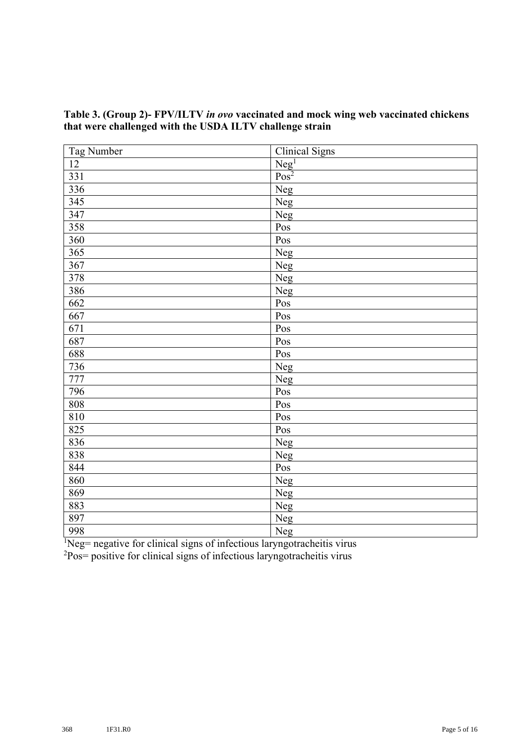| <b>Tag Number</b> | <b>Clinical Signs</b>               |
|-------------------|-------------------------------------|
| $\overline{12}$   |                                     |
| 331               | $\frac{\text{Neg}^1}{\text{Pos}^2}$ |
| 336               | Neg                                 |
| 345               | Neg                                 |
| 347               | <b>Neg</b>                          |
| 358               | Pos                                 |
| 360               | Pos                                 |
| 365               | Neg                                 |
| 367               | Neg                                 |
| 378               | Neg                                 |
| 386               | Neg                                 |
| 662               | Pos                                 |
| 667               | Pos                                 |
| 671               | Pos                                 |
| 687               | Pos                                 |
| 688               | Pos                                 |
| 736               | Neg                                 |
| 777               | Neg                                 |
| 796               | Pos                                 |
| 808               | Pos                                 |
| 810               | Pos                                 |
| 825               | Pos                                 |
| 836               | Neg                                 |
| 838               | Neg                                 |
| 844               | Pos                                 |
| 860               | Neg                                 |
| 869               | Neg                                 |
| 883               | Neg                                 |
| 897               | Neg                                 |
| 998               | Neg                                 |

## **Table 3. (Group 2)- FPV/ILTV** *in ovo* **vaccinated and mock wing web vaccinated chickens that were challenged with the USDA ILTV challenge strain**

 ${}^{1}$ Neg= negative for clinical signs of infectious laryngotracheitis virus

<sup>2</sup>Pos= positive for clinical signs of infectious laryngotracheitis virus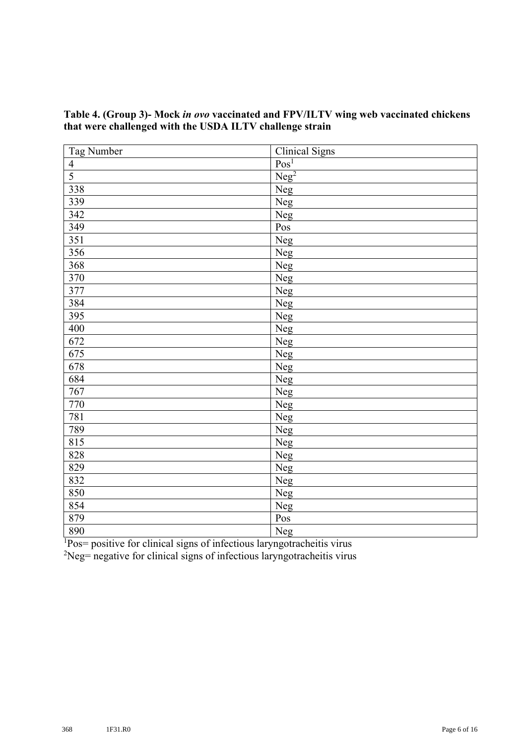| Tag Number     | <b>Clinical Signs</b> |
|----------------|-----------------------|
| $\overline{4}$ | Pos <sup>1</sup>      |
| 5              | Neg <sup>2</sup>      |
| 338            | Neg                   |
| 339            | <b>Neg</b>            |
| 342            | Neg                   |
| 349            | Pos                   |
| 351            | Neg                   |
| 356            | Neg                   |
| 368            | Neg                   |
| 370            | Neg                   |
| 377            | Neg                   |
| 384            | <b>Neg</b>            |
| 395            | Neg                   |
| 400            | Neg                   |
| 672            | Neg                   |
| 675            | Neg                   |
| 678            | Neg                   |
| 684            | Neg                   |
| 767            | Neg                   |
| 770            | Neg                   |
| 781            | Neg                   |
| 789            | Neg                   |
| 815            | Neg                   |
| 828            | Neg                   |
| 829            | Neg                   |
| 832            | Neg                   |
| 850            | Neg                   |
| 854            | Neg                   |
| 879            | $\mathbf{Pos}$        |
| 890            | Neg                   |

#### **Table 4. (Group 3)- Mock** *in ovo* **vaccinated and FPV/ILTV wing web vaccinated chickens that were challenged with the USDA ILTV challenge strain**

<sup>1</sup>Pos= positive for clinical signs of infectious laryngotracheitis virus

Neg= negative for clinical signs of infectious laryngotracheitis virus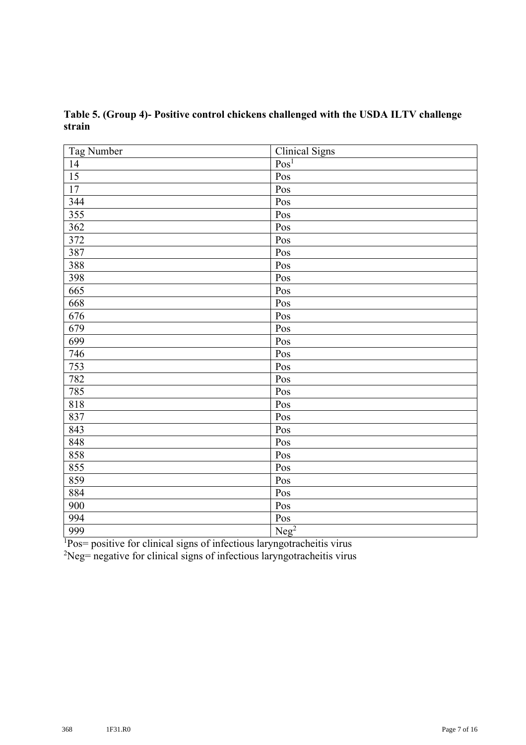| <b>Tag Number</b> | <b>Clinical Signs</b> |
|-------------------|-----------------------|
| 14                | Pos <sup>1</sup>      |
| $\overline{15}$   | Pos                   |
| 17                | Pos                   |
| 344               | Pos                   |
| 355               | Pos                   |
| 362               | Pos                   |
| 372               | Pos                   |
| 387               | Pos                   |
| 388               | Pos                   |
| 398               | Pos                   |
| 665               | Pos                   |
| 668               | Pos                   |
| 676               | Pos                   |
| 679               | Pos                   |
| 699               | Pos                   |
| 746               | Pos                   |
| 753               | Pos                   |
| 782               | Pos                   |
| 785               | Pos                   |
| 818               | Pos                   |
| 837               | Pos                   |
| 843               | Pos                   |
| 848               | Pos                   |
| 858               | Pos                   |
| 855               | Pos                   |
| 859               | Pos                   |
| 884               | Pos                   |
| 900               | Pos                   |
| 994               | $\mathbf{Pos}$        |
| 999               | Neg <sup>2</sup>      |

**Table 5. (Group 4)- Positive control chickens challenged with the USDA ILTV challenge strain**

<sup>1</sup>Pos= positive for clinical signs of infectious laryngotracheitis virus

Neg= negative for clinical signs of infectious laryngotracheitis virus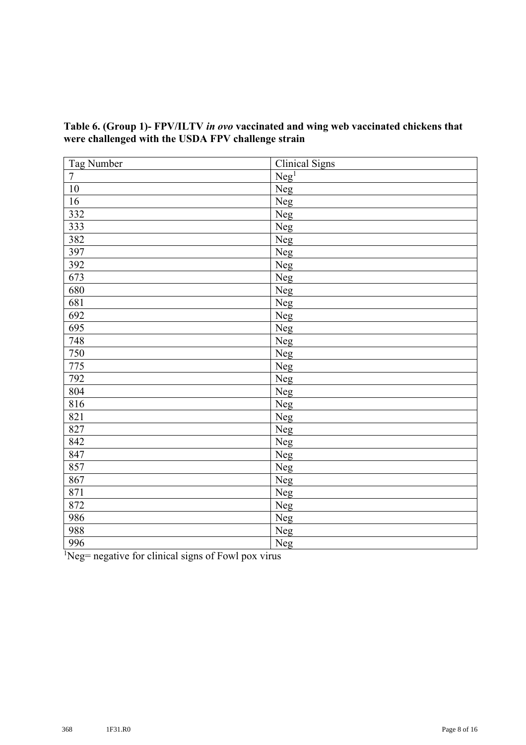| Tag Number | <b>Clinical Signs</b> |
|------------|-----------------------|
| $\tau$     | Neg <sup>1</sup>      |
| $10\,$     | Neg                   |
| 16         | Neg                   |
| 332        | Neg                   |
| 333        | Neg                   |
| 382        | Neg                   |
| 397        | Neg                   |
| 392        | Neg                   |
| 673        | Neg                   |
| 680        | Neg                   |
| 681        | Neg                   |
| 692        | Neg                   |
| 695        | Neg                   |
| 748        | Neg                   |
| 750        | Neg                   |
| 775        | Neg                   |
| 792        | Neg                   |
| 804        | Neg                   |
| 816        | Neg                   |
| 821        | <b>Neg</b>            |
| 827        | Neg                   |
| 842        | Neg                   |
| 847        | Neg                   |
| 857        | Neg                   |
| 867        | Neg                   |
| 871        | Neg                   |
| 872        | <b>Neg</b>            |
| 986        | Neg                   |
| 988        | Neg                   |
| 996        | Neg                   |

## **Table 6. (Group 1)- FPV/ILTV** *in ovo* **vaccinated and wing web vaccinated chickens that were challenged with the USDA FPV challenge strain**

<sup>1</sup>Neg= negative for clinical signs of Fowl pox virus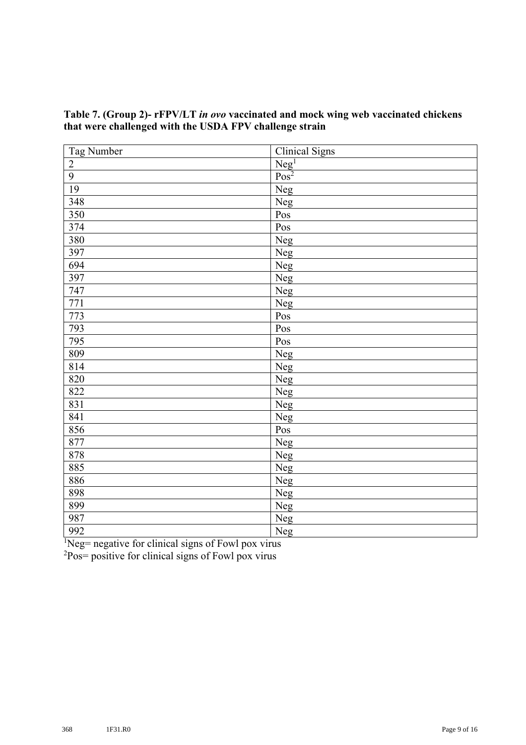| Tag Number      | <b>Clinical Signs</b>               |
|-----------------|-------------------------------------|
| $\overline{2}$  |                                     |
| $\overline{9}$  | $\frac{\text{Neg}^1}{\text{Pos}^2}$ |
| $\overline{19}$ | Neg                                 |
| 348             | <b>Neg</b>                          |
| 350             | Pos                                 |
| 374             | $P_{OS}$                            |
| 380             | Neg                                 |
| 397             | Neg                                 |
| 694             | Neg                                 |
| 397             | Neg                                 |
| 747             | Neg                                 |
| 771             | Neg                                 |
| 773             | Pos                                 |
| 793             | Pos                                 |
| 795             | Pos                                 |
| 809             | Neg                                 |
| 814             | Neg                                 |
| 820             | Neg                                 |
| 822             | Neg                                 |
| 831             | Neg                                 |
| 841             | Neg                                 |
| 856             | $\overline{Pos}$                    |
| 877             | Neg                                 |
| 878             | Neg                                 |
| 885             | Neg                                 |
| 886             | Neg                                 |
| 898             | Neg                                 |
| 899             | Neg                                 |
| 987             | Neg                                 |
| 992             | <b>Neg</b>                          |

#### **Table 7. (Group 2)- rFPV/LT** *in ovo* **vaccinated and mock wing web vaccinated chickens that were challenged with the USDA FPV challenge strain**

 ${}^{1}$ Neg= negative for clinical signs of Fowl pox virus

Pos= positive for clinical signs of Fowl pox virus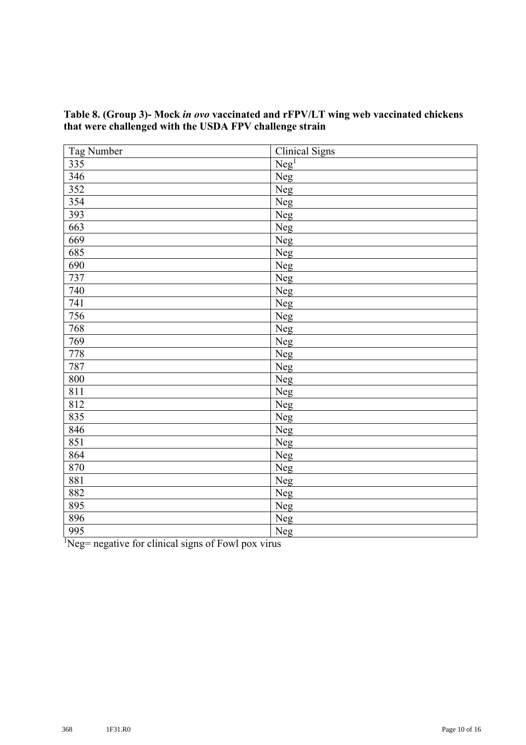| <b>Tag Number</b> | <b>Clinical Signs</b> |
|-------------------|-----------------------|
| 335               | Neg <sup>1</sup>      |
| 346               | Neg                   |
| 352               | Neg                   |
| 354               | <b>Neg</b>            |
| 393               | Neg                   |
| 663               | Neg                   |
| 669               | Neg                   |
| 685               | Neg                   |
| 690               | Neg                   |
| 737               | Neg                   |
| 740               | Neg                   |
| 741               | <b>Neg</b>            |
| 756               | <b>Neg</b>            |
| 768               | Neg                   |
| 769               | Neg                   |
| 778               | Neg                   |
| 787               | Neg                   |
| 800               | Neg                   |
| 811               | Neg                   |
| 812               | Neg                   |
| 835               | Neg                   |
| 846               | Neg                   |
| 851               | Neg                   |
| 864               | Neg                   |
| 870               | <b>Neg</b>            |
| 881               | Neg                   |
| 882               | Neg                   |
| 895               | Neg                   |
| 896               | Neg                   |
| 995               | Neg                   |

## **Table 8. (Group 3)- Mock** *in ovo* **vaccinated and rFPV/LT wing web vaccinated chickens that were challenged with the USDA FPV challenge strain**

 ${}^{1}$ Neg= negative for clinical signs of Fowl pox virus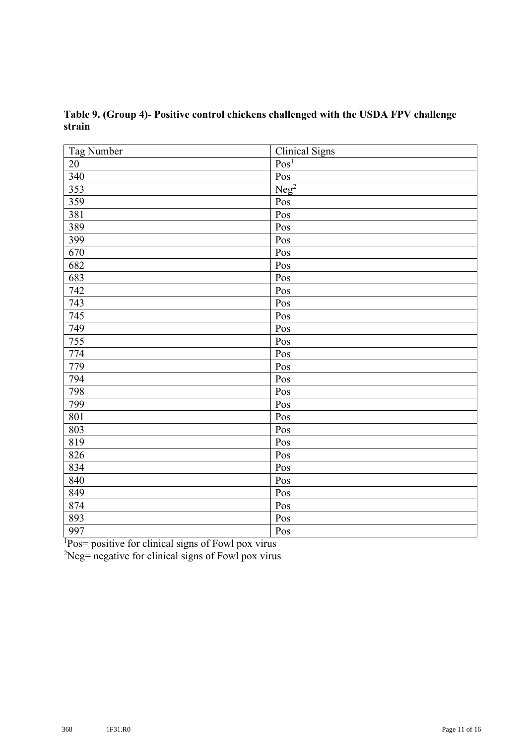| Tag Number | <b>Clinical Signs</b> |
|------------|-----------------------|
| $20\,$     | Pos <sup>1</sup>      |
| 340        | Pos                   |
| 353        | Neg <sup>2</sup>      |
| 359        | Pos                   |
| 381        | Pos                   |
| 389        | Pos                   |
| 399        | Pos                   |
| 670        | Pos                   |
| 682        | $P_{OS}$              |
| 683        | Pos                   |
| 742        | Pos                   |
| 743        | Pos                   |
| 745        | Pos                   |
| 749        | Pos                   |
| 755        | Pos                   |
| 774        | Pos                   |
| 779        | Pos                   |
| 794        | Pos                   |
| 798        | Pos                   |
| 799        | Pos                   |
| 801        | Pos                   |
| 803        | Pos                   |
| 819        | Pos                   |
| 826        | Pos                   |
| 834        | Pos                   |
| 840        | Pos                   |
| 849        | Pos                   |
| 874        | Pos                   |
| 893        | Pos                   |
| 997        | Pos                   |

**Table 9. (Group 4)- Positive control chickens challenged with the USDA FPV challenge strain**

Pos= positive for clinical signs of Fowl pox virus

Neg= negative for clinical signs of Fowl pox virus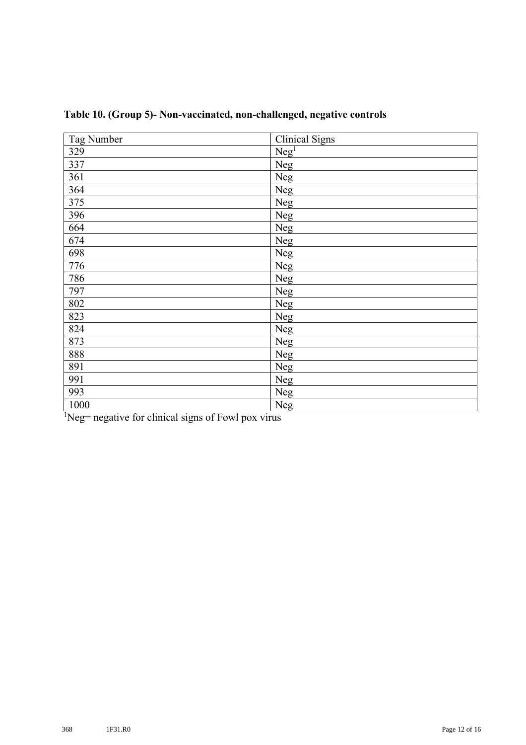| Tag Number | <b>Clinical Signs</b> |
|------------|-----------------------|
| 329        | Neg <sup>1</sup>      |
| 337        | Neg                   |
| 361        | Neg                   |
| 364        | Neg                   |
| 375        | Neg                   |
| 396        | Neg                   |
| 664        | Neg                   |
| 674        | Neg                   |
| 698        | Neg                   |
| 776        | Neg                   |
| 786        | Neg                   |
| 797        | Neg                   |
| 802        | Neg                   |
| 823        | Neg                   |
| 824        | Neg                   |
| 873        | Neg                   |
| 888        | Neg                   |
| 891        | Neg                   |
| 991        | Neg                   |
| 993        | Neg                   |
| 1000       | Neg                   |

**Table 10. (Group 5)- Non-vaccinated, non-challenged, negative controls**

<sup>1</sup>Neg= negative for clinical signs of Fowl pox virus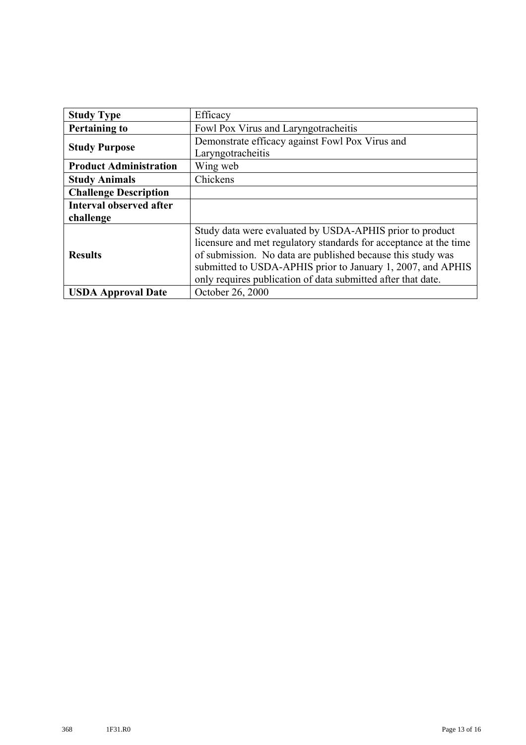| <b>Study Type</b>              | Efficacy                                                          |
|--------------------------------|-------------------------------------------------------------------|
| <b>Pertaining to</b>           | Fowl Pox Virus and Laryngotracheitis                              |
| <b>Study Purpose</b>           | Demonstrate efficacy against Fowl Pox Virus and                   |
|                                | Laryngotracheitis                                                 |
| <b>Product Administration</b>  | Wing web                                                          |
| <b>Study Animals</b>           | Chickens                                                          |
| <b>Challenge Description</b>   |                                                                   |
| <b>Interval observed after</b> |                                                                   |
| challenge                      |                                                                   |
| <b>Results</b>                 | Study data were evaluated by USDA-APHIS prior to product          |
|                                | licensure and met regulatory standards for acceptance at the time |
|                                | of submission. No data are published because this study was       |
|                                | submitted to USDA-APHIS prior to January 1, 2007, and APHIS       |
|                                | only requires publication of data submitted after that date.      |
| <b>USDA Approval Date</b>      | October 26, 2000                                                  |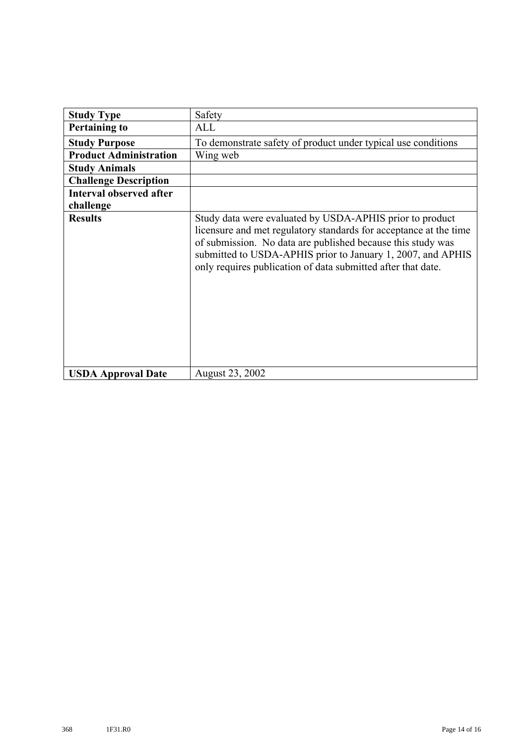| <b>Study Type</b>              | Safety                                                                                                                                                                                                                                                                                                                      |  |  |  |  |  |  |
|--------------------------------|-----------------------------------------------------------------------------------------------------------------------------------------------------------------------------------------------------------------------------------------------------------------------------------------------------------------------------|--|--|--|--|--|--|
| <b>Pertaining to</b>           | ALL                                                                                                                                                                                                                                                                                                                         |  |  |  |  |  |  |
| <b>Study Purpose</b>           | To demonstrate safety of product under typical use conditions                                                                                                                                                                                                                                                               |  |  |  |  |  |  |
| <b>Product Administration</b>  | Wing web                                                                                                                                                                                                                                                                                                                    |  |  |  |  |  |  |
| <b>Study Animals</b>           |                                                                                                                                                                                                                                                                                                                             |  |  |  |  |  |  |
| <b>Challenge Description</b>   |                                                                                                                                                                                                                                                                                                                             |  |  |  |  |  |  |
| <b>Interval observed after</b> |                                                                                                                                                                                                                                                                                                                             |  |  |  |  |  |  |
| challenge                      |                                                                                                                                                                                                                                                                                                                             |  |  |  |  |  |  |
| <b>Results</b>                 | Study data were evaluated by USDA-APHIS prior to product<br>licensure and met regulatory standards for acceptance at the time<br>of submission. No data are published because this study was<br>submitted to USDA-APHIS prior to January 1, 2007, and APHIS<br>only requires publication of data submitted after that date. |  |  |  |  |  |  |
| <b>USDA Approval Date</b>      | August 23, 2002                                                                                                                                                                                                                                                                                                             |  |  |  |  |  |  |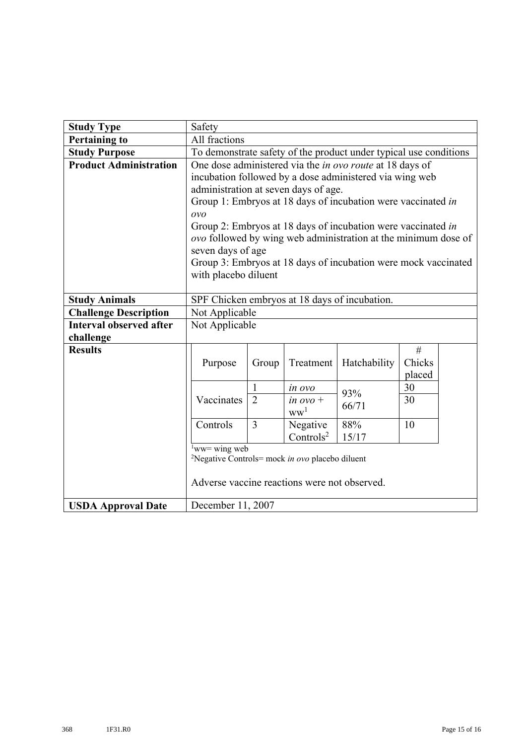| <b>Study Type</b>              | Safety                                                            |                |                               |              |        |  |  |  |  |
|--------------------------------|-------------------------------------------------------------------|----------------|-------------------------------|--------------|--------|--|--|--|--|
| <b>Pertaining to</b>           | All fractions                                                     |                |                               |              |        |  |  |  |  |
| <b>Study Purpose</b>           | To demonstrate safety of the product under typical use conditions |                |                               |              |        |  |  |  |  |
| <b>Product Administration</b>  | One dose administered via the in ovo route at 18 days of          |                |                               |              |        |  |  |  |  |
|                                | incubation followed by a dose administered via wing web           |                |                               |              |        |  |  |  |  |
|                                | administration at seven days of age.                              |                |                               |              |        |  |  |  |  |
|                                | Group 1: Embryos at 18 days of incubation were vaccinated in      |                |                               |              |        |  |  |  |  |
|                                | OVO                                                               |                |                               |              |        |  |  |  |  |
|                                | Group 2: Embryos at 18 days of incubation were vaccinated in      |                |                               |              |        |  |  |  |  |
|                                | ovo followed by wing web administration at the minimum dose of    |                |                               |              |        |  |  |  |  |
|                                | seven days of age                                                 |                |                               |              |        |  |  |  |  |
|                                | Group 3: Embryos at 18 days of incubation were mock vaccinated    |                |                               |              |        |  |  |  |  |
|                                | with placebo diluent                                              |                |                               |              |        |  |  |  |  |
|                                | SPF Chicken embryos at 18 days of incubation.                     |                |                               |              |        |  |  |  |  |
| <b>Study Animals</b>           |                                                                   |                |                               |              |        |  |  |  |  |
| <b>Challenge Description</b>   | Not Applicable                                                    |                |                               |              |        |  |  |  |  |
| <b>Interval observed after</b> | Not Applicable                                                    |                |                               |              |        |  |  |  |  |
| challenge                      |                                                                   |                |                               |              |        |  |  |  |  |
| <b>Results</b>                 |                                                                   |                |                               |              | $\#$   |  |  |  |  |
|                                | Purpose                                                           | Group          | Treatment                     | Hatchability | Chicks |  |  |  |  |
|                                |                                                                   |                |                               |              | placed |  |  |  |  |
|                                |                                                                   | $\mathbf{1}$   | in ovo                        | 93%          | 30     |  |  |  |  |
|                                | Vaccinates                                                        | $\overline{2}$ | in $ovo$ +<br>ww <sup>1</sup> | 66/71        | 30     |  |  |  |  |
|                                | Controls                                                          | 3              | Negative                      | 88%          | 10     |  |  |  |  |
|                                |                                                                   |                | Controls $2$                  | 15/17        |        |  |  |  |  |
|                                | $\frac{1}{1}$ ww= wing web                                        |                |                               |              |        |  |  |  |  |
|                                | <sup>2</sup> Negative Controls= mock in ovo placebo diluent       |                |                               |              |        |  |  |  |  |
|                                | Adverse vaccine reactions were not observed.                      |                |                               |              |        |  |  |  |  |
| <b>USDA Approval Date</b>      | December 11, 2007                                                 |                |                               |              |        |  |  |  |  |